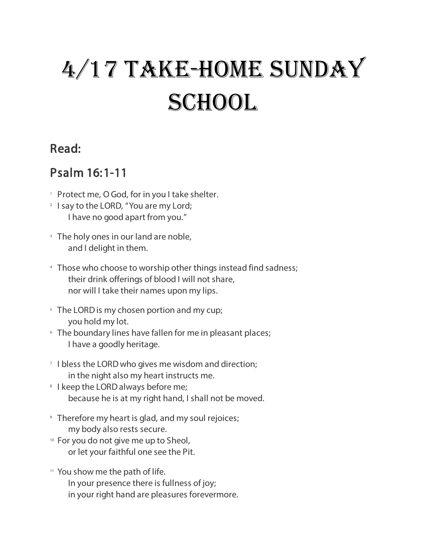# 4/17 Take-Home Sunday **SCHOOL**

### Read:

## Psalm 16:1-11

- <sup>1</sup> Protect me, O God, for in you I take shelter.
- <sup>2</sup> I say to the LORD, "You are my Lord; I have no good apart from you."
- <sup>3</sup> The holy ones in our land are noble, and I delight in them.
- 4 Those who choose to worship other things instead find sadness; their drink offerings of blood I will not share, nor will I take their names upon my lips.
- <sup>5</sup> The LORD is my chosen portion and my cup; you hold my lot.
- **Ine boundary lines have fallen for me in pleasant places;** I have a goodly heritage.
- <sup>7</sup> I bless the LORD who gives me wisdom and direction; in the night also my heart instructs me.
- **I keep the LORD always before me;** because he is at my right hand, I shall not be moved.
- 9 Therefore my heart is glad, and my soul rejoices; my body also rests secure.
- 10 For you do not give me up to Sheol, or let your faithful one see the Pit.
- 11 You show me the path of life.
	- In your presence there is fullness of joy;
	- in your right hand are pleasures forevermore.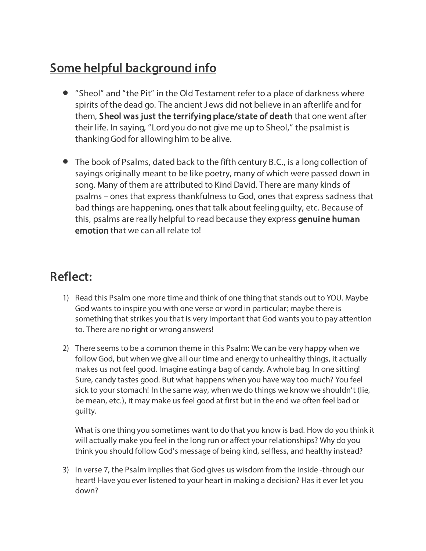# Some helpful background info

- "Sheol" and "the Pit" in the Old Testament refer to a place of darkness where spirits of the dead go. The ancient J ews did not believe in an afterlife and for them, Sheol was just the terrifying place/state of death that one went after their life. In saying, "Lord you do not give me up to Sheol," the psalmist is thanking God for allowing him to be alive.
- The book of Psalms, dated back to the fifth century B.C., is a long collection of sayings originally meant to be like poetry, many of which were passed down in song. Many of them are attributed to Kind David. There are many kinds of psalms – ones that express thankfulness to God, ones that express sadness that bad things are happening, ones that talk about feeling guilty, etc. Because of this, psalms are really helpful to read because they express genuine human emotion that we can all relate to!

### Reflect:

- 1) Read this Psalm one more time and think of one thing that stands out to YOU. Maybe God wants to inspire you with one verse or word in particular; maybe there is something that strikes you that is very important that God wants you to pay attention to. There are no right or wrong answers!
- 2) There seems to be a common theme in this Psalm: We can be very happy when we follow God, but when we give all our time and energy to unhealthy things, it actually makes us not feel good. Imagine eating a bag of candy. A whole bag. In one sitting! Sure, candy tastes good. But what happens when you have way too much? You feel sick to your stomach! In the same way, when we do things we know we shouldn't (lie, be mean, etc.), it may make us feel good at first but in the end we often feel bad or guilty.

What is one thing you sometimes want to do that you know is bad. How do you think it will actually make you feel in the long run or affect your relationships? Why do you think you should follow God's message of being kind, selfless, and healthy instead?

3) In verse 7, the Psalm implies that God gives us wisdom from the inside -through our heart! Have you ever listened to your heart in making a decision? Has it ever let you down?